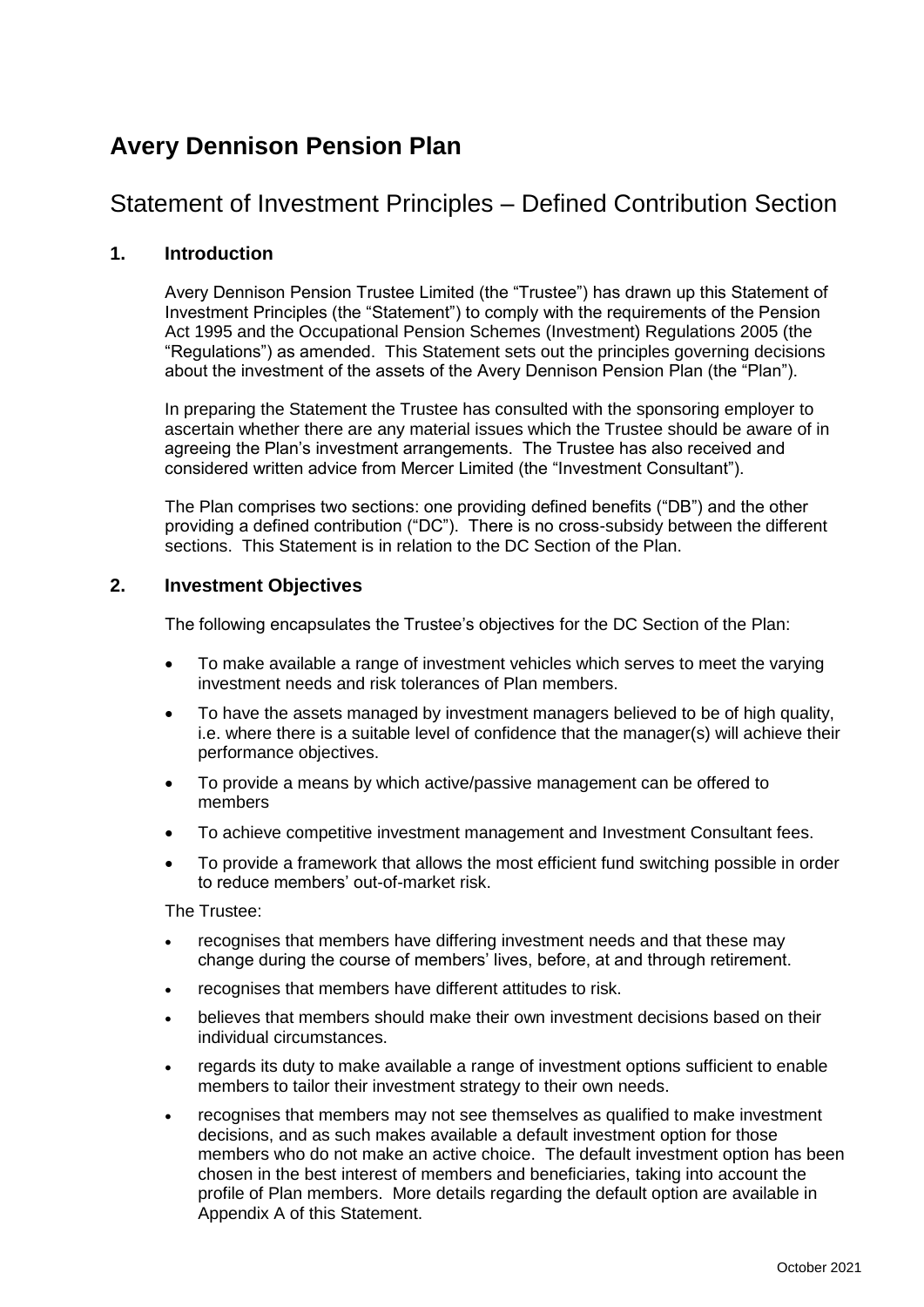## **Avery Dennison Pension Plan**

## Statement of Investment Principles – Defined Contribution Section

## **1. Introduction**

Avery Dennison Pension Trustee Limited (the "Trustee") has drawn up this Statement of Investment Principles (the "Statement") to comply with the requirements of the Pension Act 1995 and the Occupational Pension Schemes (Investment) Regulations 2005 (the "Regulations") as amended. This Statement sets out the principles governing decisions about the investment of the assets of the Avery Dennison Pension Plan (the "Plan").

In preparing the Statement the Trustee has consulted with the sponsoring employer to ascertain whether there are any material issues which the Trustee should be aware of in agreeing the Plan's investment arrangements. The Trustee has also received and considered written advice from Mercer Limited (the "Investment Consultant").

The Plan comprises two sections: one providing defined benefits ("DB") and the other providing a defined contribution ("DC"). There is no cross-subsidy between the different sections. This Statement is in relation to the DC Section of the Plan.

### **2. Investment Objectives**

The following encapsulates the Trustee's objectives for the DC Section of the Plan:

- To make available a range of investment vehicles which serves to meet the varying investment needs and risk tolerances of Plan members.
- To have the assets managed by investment managers believed to be of high quality, i.e. where there is a suitable level of confidence that the manager(s) will achieve their performance objectives.
- To provide a means by which active/passive management can be offered to members
- To achieve competitive investment management and Investment Consultant fees.
- To provide a framework that allows the most efficient fund switching possible in order to reduce members' out-of-market risk.

The Trustee:

- recognises that members have differing investment needs and that these may change during the course of members' lives, before, at and through retirement.
- recognises that members have different attitudes to risk.
- believes that members should make their own investment decisions based on their individual circumstances.
- regards its duty to make available a range of investment options sufficient to enable members to tailor their investment strategy to their own needs.
- recognises that members may not see themselves as qualified to make investment decisions, and as such makes available a default investment option for those members who do not make an active choice. The default investment option has been chosen in the best interest of members and beneficiaries, taking into account the profile of Plan members. More details regarding the default option are available in Appendix A of this Statement.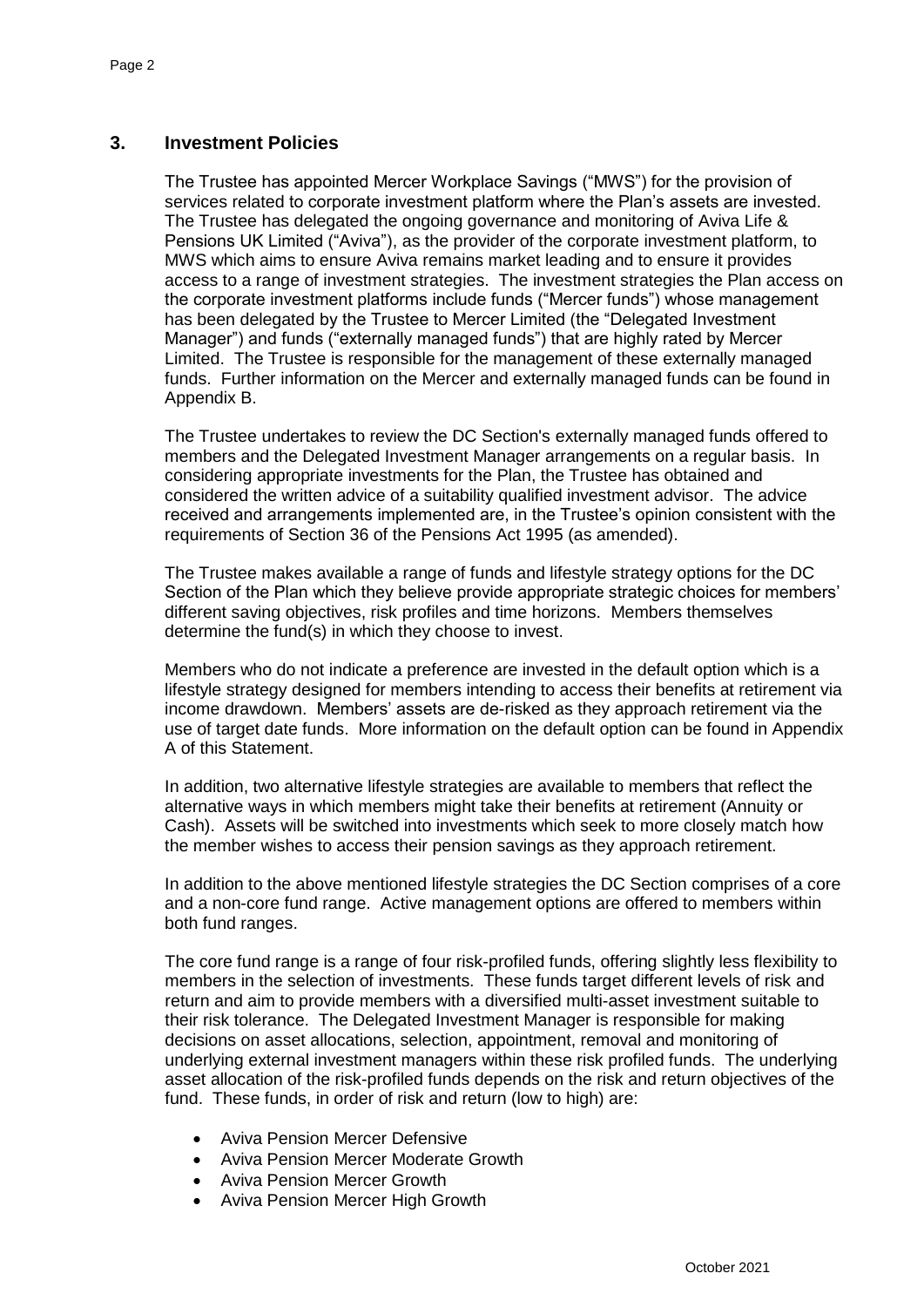## **3. Investment Policies**

The Trustee has appointed Mercer Workplace Savings ("MWS") for the provision of services related to corporate investment platform where the Plan's assets are invested. The Trustee has delegated the ongoing governance and monitoring of Aviva Life & Pensions UK Limited ("Aviva"), as the provider of the corporate investment platform, to MWS which aims to ensure Aviva remains market leading and to ensure it provides access to a range of investment strategies. The investment strategies the Plan access on the corporate investment platforms include funds ("Mercer funds") whose management has been delegated by the Trustee to Mercer Limited (the "Delegated Investment Manager") and funds ("externally managed funds") that are highly rated by Mercer Limited. The Trustee is responsible for the management of these externally managed funds. Further information on the Mercer and externally managed funds can be found in Appendix B.

The Trustee undertakes to review the DC Section's externally managed funds offered to members and the Delegated Investment Manager arrangements on a regular basis. In considering appropriate investments for the Plan, the Trustee has obtained and considered the written advice of a suitability qualified investment advisor. The advice received and arrangements implemented are, in the Trustee's opinion consistent with the requirements of Section 36 of the Pensions Act 1995 (as amended).

The Trustee makes available a range of funds and lifestyle strategy options for the DC Section of the Plan which they believe provide appropriate strategic choices for members' different saving objectives, risk profiles and time horizons. Members themselves determine the fund(s) in which they choose to invest.

Members who do not indicate a preference are invested in the default option which is a lifestyle strategy designed for members intending to access their benefits at retirement via income drawdown. Members' assets are de-risked as they approach retirement via the use of target date funds. More information on the default option can be found in Appendix A of this Statement.

In addition, two alternative lifestyle strategies are available to members that reflect the alternative ways in which members might take their benefits at retirement (Annuity or Cash). Assets will be switched into investments which seek to more closely match how the member wishes to access their pension savings as they approach retirement.

In addition to the above mentioned lifestyle strategies the DC Section comprises of a core and a non-core fund range. Active management options are offered to members within both fund ranges.

The core fund range is a range of four risk-profiled funds, offering slightly less flexibility to members in the selection of investments. These funds target different levels of risk and return and aim to provide members with a diversified multi-asset investment suitable to their risk tolerance. The Delegated Investment Manager is responsible for making decisions on asset allocations, selection, appointment, removal and monitoring of underlying external investment managers within these risk profiled funds. The underlying asset allocation of the risk-profiled funds depends on the risk and return objectives of the fund. These funds, in order of risk and return (low to high) are:

- Aviva Pension Mercer Defensive
- Aviva Pension Mercer Moderate Growth
- Aviva Pension Mercer Growth
- Aviva Pension Mercer High Growth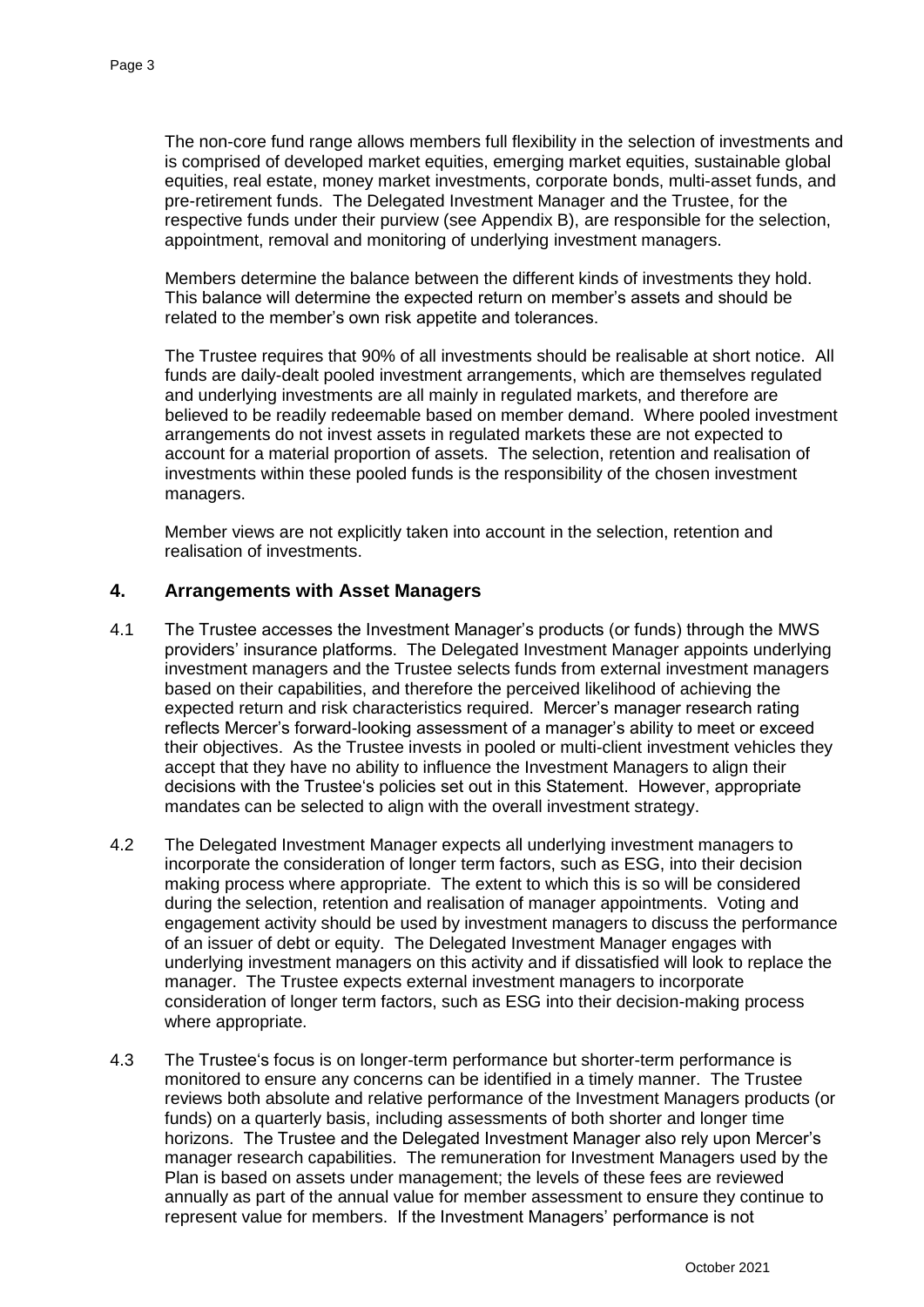The non-core fund range allows members full flexibility in the selection of investments and is comprised of developed market equities, emerging market equities, sustainable global equities, real estate, money market investments, corporate bonds, multi-asset funds, and pre-retirement funds. The Delegated Investment Manager and the Trustee, for the respective funds under their purview (see Appendix B), are responsible for the selection, appointment, removal and monitoring of underlying investment managers.

Members determine the balance between the different kinds of investments they hold. This balance will determine the expected return on member's assets and should be related to the member's own risk appetite and tolerances.

The Trustee requires that 90% of all investments should be realisable at short notice. All funds are daily-dealt pooled investment arrangements, which are themselves regulated and underlying investments are all mainly in regulated markets, and therefore are believed to be readily redeemable based on member demand. Where pooled investment arrangements do not invest assets in regulated markets these are not expected to account for a material proportion of assets. The selection, retention and realisation of investments within these pooled funds is the responsibility of the chosen investment managers.

Member views are not explicitly taken into account in the selection, retention and realisation of investments.

### **4. Arrangements with Asset Managers**

- 4.1 The Trustee accesses the Investment Manager's products (or funds) through the MWS providers' insurance platforms. The Delegated Investment Manager appoints underlying investment managers and the Trustee selects funds from external investment managers based on their capabilities, and therefore the perceived likelihood of achieving the expected return and risk characteristics required. Mercer's manager research rating reflects Mercer's forward-looking assessment of a manager's ability to meet or exceed their objectives. As the Trustee invests in pooled or multi-client investment vehicles they accept that they have no ability to influence the Investment Managers to align their decisions with the Trustee's policies set out in this Statement. However, appropriate mandates can be selected to align with the overall investment strategy.
- 4.2 The Delegated Investment Manager expects all underlying investment managers to incorporate the consideration of longer term factors, such as ESG, into their decision making process where appropriate. The extent to which this is so will be considered during the selection, retention and realisation of manager appointments. Voting and engagement activity should be used by investment managers to discuss the performance of an issuer of debt or equity. The Delegated Investment Manager engages with underlying investment managers on this activity and if dissatisfied will look to replace the manager. The Trustee expects external investment managers to incorporate consideration of longer term factors, such as ESG into their decision-making process where appropriate.
- 4.3 The Trustee's focus is on longer-term performance but shorter-term performance is monitored to ensure any concerns can be identified in a timely manner. The Trustee reviews both absolute and relative performance of the Investment Managers products (or funds) on a quarterly basis, including assessments of both shorter and longer time horizons. The Trustee and the Delegated Investment Manager also rely upon Mercer's manager research capabilities. The remuneration for Investment Managers used by the Plan is based on assets under management; the levels of these fees are reviewed annually as part of the annual value for member assessment to ensure they continue to represent value for members. If the Investment Managers' performance is not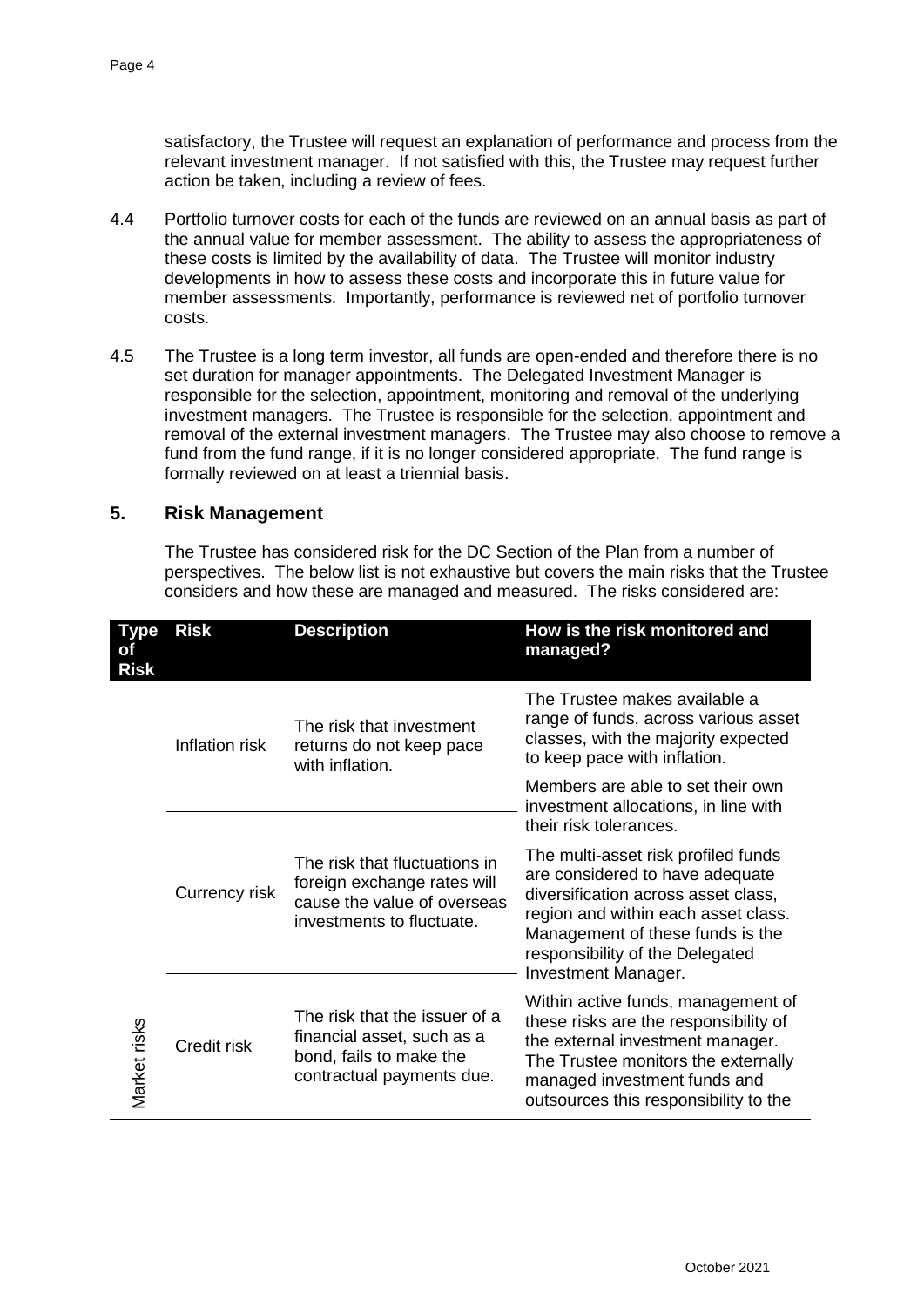satisfactory, the Trustee will request an explanation of performance and process from the relevant investment manager. If not satisfied with this, the Trustee may request further action be taken, including a review of fees.

- 4.4 Portfolio turnover costs for each of the funds are reviewed on an annual basis as part of the annual value for member assessment. The ability to assess the appropriateness of these costs is limited by the availability of data. The Trustee will monitor industry developments in how to assess these costs and incorporate this in future value for member assessments. Importantly, performance is reviewed net of portfolio turnover costs.
- 4.5 The Trustee is a long term investor, all funds are open-ended and therefore there is no set duration for manager appointments. The Delegated Investment Manager is responsible for the selection, appointment, monitoring and removal of the underlying investment managers. The Trustee is responsible for the selection, appointment and removal of the external investment managers. The Trustee may also choose to remove a fund from the fund range, if it is no longer considered appropriate. The fund range is formally reviewed on at least a triennial basis.

### **5. Risk Management**

The Trustee has considered risk for the DC Section of the Plan from a number of perspectives. The below list is not exhaustive but covers the main risks that the Trustee considers and how these are managed and measured. The risks considered are:

| Type<br>оf<br><b>Risk</b> | <b>Risk</b>    | <b>Description</b>                                                                                                       | How is the risk monitored and<br>managed?                                                                                                                                                                                                                 |
|---------------------------|----------------|--------------------------------------------------------------------------------------------------------------------------|-----------------------------------------------------------------------------------------------------------------------------------------------------------------------------------------------------------------------------------------------------------|
|                           | Inflation risk | The risk that investment<br>returns do not keep pace<br>with inflation.                                                  | The Trustee makes available a<br>range of funds, across various asset<br>classes, with the majority expected<br>to keep pace with inflation.                                                                                                              |
| Market risks              |                |                                                                                                                          | Members are able to set their own<br>investment allocations, in line with<br>their risk tolerances.                                                                                                                                                       |
|                           | Currency risk  | The risk that fluctuations in<br>foreign exchange rates will<br>cause the value of overseas<br>investments to fluctuate. | The multi-asset risk profiled funds<br>are considered to have adequate<br>diversification across asset class,<br>region and within each asset class.<br>Management of these funds is the<br>responsibility of the Delegated<br><b>Investment Manager.</b> |
|                           | Credit risk    | The risk that the issuer of a<br>financial asset, such as a<br>bond, fails to make the<br>contractual payments due.      | Within active funds, management of<br>these risks are the responsibility of<br>the external investment manager.<br>The Trustee monitors the externally<br>managed investment funds and<br>outsources this responsibility to the                           |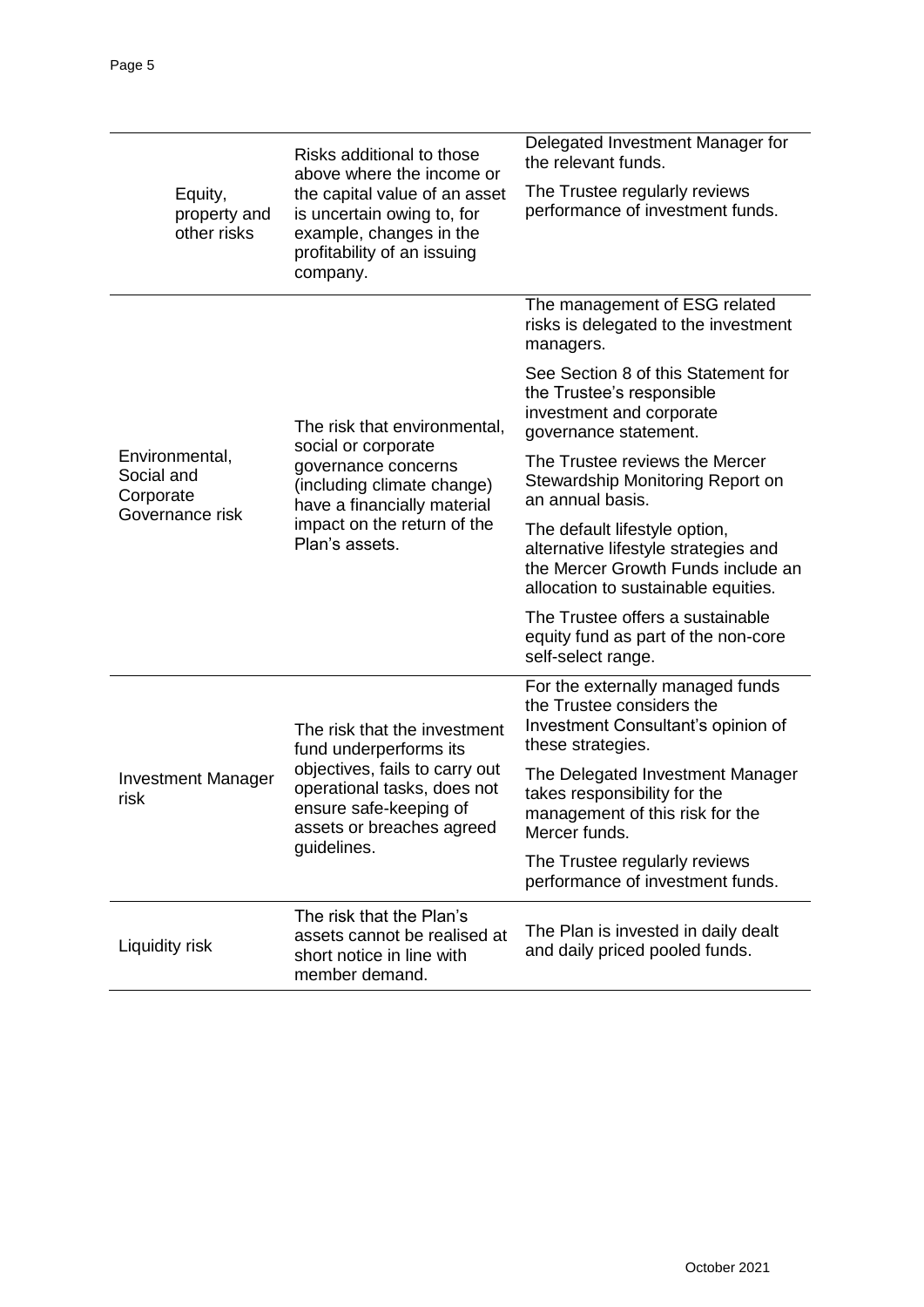|                                           | Risks additional to those<br>above where the income or<br>the capital value of an asset<br>is uncertain owing to, for<br>example, changes in the<br>profitability of an issuing<br>company.   | Delegated Investment Manager for<br>the relevant funds.                                                                                            |
|-------------------------------------------|-----------------------------------------------------------------------------------------------------------------------------------------------------------------------------------------------|----------------------------------------------------------------------------------------------------------------------------------------------------|
| Equity,<br>property and<br>other risks    |                                                                                                                                                                                               | The Trustee regularly reviews<br>performance of investment funds.                                                                                  |
|                                           | The risk that environmental,<br>social or corporate<br>governance concerns<br>(including climate change)<br>have a financially material<br>impact on the return of the<br>Plan's assets.      | The management of ESG related<br>risks is delegated to the investment<br>managers.                                                                 |
|                                           |                                                                                                                                                                                               | See Section 8 of this Statement for<br>the Trustee's responsible<br>investment and corporate<br>governance statement.                              |
| Environmental,<br>Social and<br>Corporate |                                                                                                                                                                                               | The Trustee reviews the Mercer<br>Stewardship Monitoring Report on<br>an annual basis.                                                             |
| Governance risk                           |                                                                                                                                                                                               | The default lifestyle option,<br>alternative lifestyle strategies and<br>the Mercer Growth Funds include an<br>allocation to sustainable equities. |
|                                           |                                                                                                                                                                                               | The Trustee offers a sustainable<br>equity fund as part of the non-core<br>self-select range.                                                      |
|                                           | The risk that the investment<br>fund underperforms its<br>objectives, fails to carry out<br>operational tasks, does not<br>ensure safe-keeping of<br>assets or breaches agreed<br>guidelines. | For the externally managed funds<br>the Trustee considers the<br>Investment Consultant's opinion of<br>these strategies.                           |
| <b>Investment Manager</b><br>risk         |                                                                                                                                                                                               | The Delegated Investment Manager<br>takes responsibility for the<br>management of this risk for the<br>Mercer funds.                               |
|                                           |                                                                                                                                                                                               | The Trustee regularly reviews<br>performance of investment funds.                                                                                  |
| Liquidity risk                            | The risk that the Plan's<br>assets cannot be realised at<br>short notice in line with<br>member demand.                                                                                       | The Plan is invested in daily dealt<br>and daily priced pooled funds.                                                                              |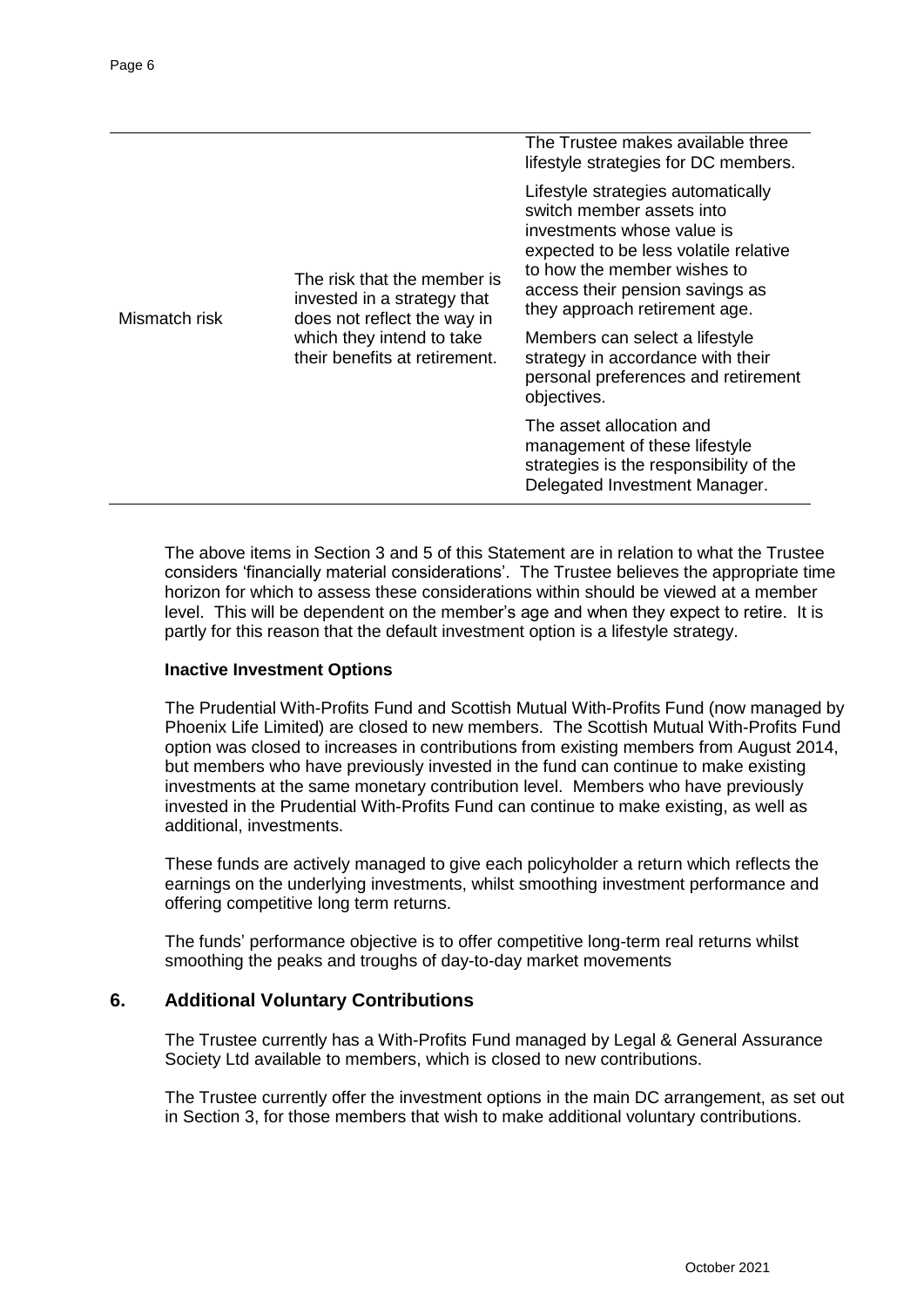|               | The risk that the member is<br>invested in a strategy that<br>does not reflect the way in<br>which they intend to take<br>their benefits at retirement. | The Trustee makes available three<br>lifestyle strategies for DC members.                                                                                                                                                                 |
|---------------|---------------------------------------------------------------------------------------------------------------------------------------------------------|-------------------------------------------------------------------------------------------------------------------------------------------------------------------------------------------------------------------------------------------|
| Mismatch risk |                                                                                                                                                         | Lifestyle strategies automatically<br>switch member assets into<br>investments whose value is<br>expected to be less volatile relative<br>to how the member wishes to<br>access their pension savings as<br>they approach retirement age. |
|               |                                                                                                                                                         | Members can select a lifestyle<br>strategy in accordance with their<br>personal preferences and retirement<br>objectives.                                                                                                                 |
|               |                                                                                                                                                         | The asset allocation and<br>management of these lifestyle<br>strategies is the responsibility of the<br>Delegated Investment Manager.                                                                                                     |

The above items in Section 3 and 5 of this Statement are in relation to what the Trustee considers 'financially material considerations'. The Trustee believes the appropriate time horizon for which to assess these considerations within should be viewed at a member level. This will be dependent on the member's age and when they expect to retire. It is partly for this reason that the default investment option is a lifestyle strategy.

#### **Inactive Investment Options**

The Prudential With-Profits Fund and Scottish Mutual With-Profits Fund (now managed by Phoenix Life Limited) are closed to new members. The Scottish Mutual With-Profits Fund option was closed to increases in contributions from existing members from August 2014, but members who have previously invested in the fund can continue to make existing investments at the same monetary contribution level. Members who have previously invested in the Prudential With-Profits Fund can continue to make existing, as well as additional, investments.

These funds are actively managed to give each policyholder a return which reflects the earnings on the underlying investments, whilst smoothing investment performance and offering competitive long term returns.

The funds' performance objective is to offer competitive long-term real returns whilst smoothing the peaks and troughs of day-to-day market movements

### **6. Additional Voluntary Contributions**

The Trustee currently has a With-Profits Fund managed by Legal & General Assurance Society Ltd available to members, which is closed to new contributions.

The Trustee currently offer the investment options in the main DC arrangement, as set out in Section 3, for those members that wish to make additional voluntary contributions.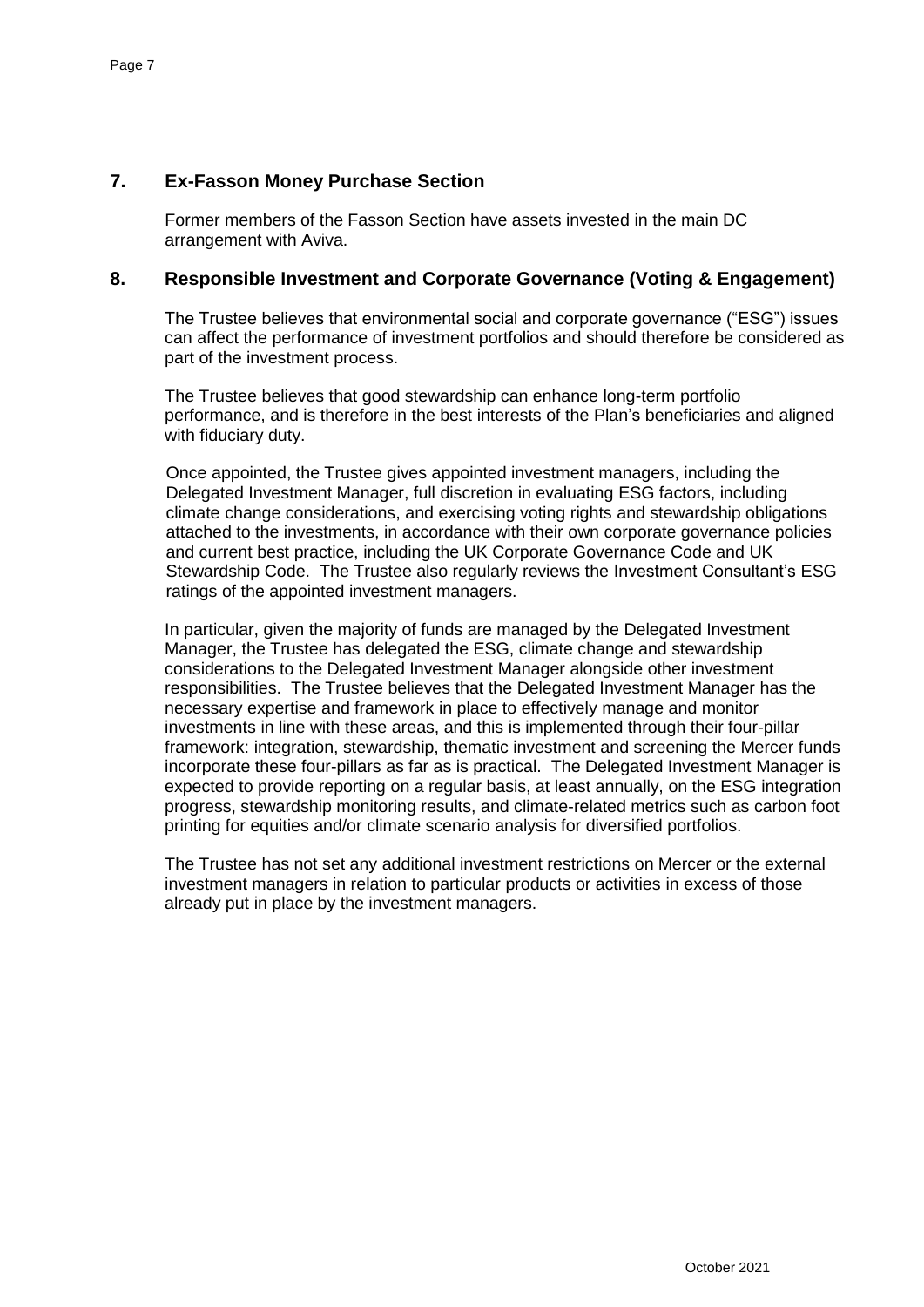## **7. Ex-Fasson Money Purchase Section**

Former members of the Fasson Section have assets invested in the main DC arrangement with Aviva.

### **8. Responsible Investment and Corporate Governance (Voting & Engagement)**

The Trustee believes that environmental social and corporate governance ("ESG") issues can affect the performance of investment portfolios and should therefore be considered as part of the investment process.

The Trustee believes that good stewardship can enhance long-term portfolio performance, and is therefore in the best interests of the Plan's beneficiaries and aligned with fiduciary duty.

Once appointed, the Trustee gives appointed investment managers, including the Delegated Investment Manager, full discretion in evaluating ESG factors, including climate change considerations, and exercising voting rights and stewardship obligations attached to the investments, in accordance with their own corporate governance policies and current best practice, including the UK Corporate Governance Code and UK Stewardship Code. The Trustee also regularly reviews the Investment Consultant's ESG ratings of the appointed investment managers.

In particular, given the majority of funds are managed by the Delegated Investment Manager, the Trustee has delegated the ESG, climate change and stewardship considerations to the Delegated Investment Manager alongside other investment responsibilities. The Trustee believes that the Delegated Investment Manager has the necessary expertise and framework in place to effectively manage and monitor investments in line with these areas, and this is implemented through their four-pillar framework: integration, stewardship, thematic investment and screening the Mercer funds incorporate these four-pillars as far as is practical. The Delegated Investment Manager is expected to provide reporting on a regular basis, at least annually, on the ESG integration progress, stewardship monitoring results, and climate-related metrics such as carbon foot printing for equities and/or climate scenario analysis for diversified portfolios.

The Trustee has not set any additional investment restrictions on Mercer or the external investment managers in relation to particular products or activities in excess of those already put in place by the investment managers.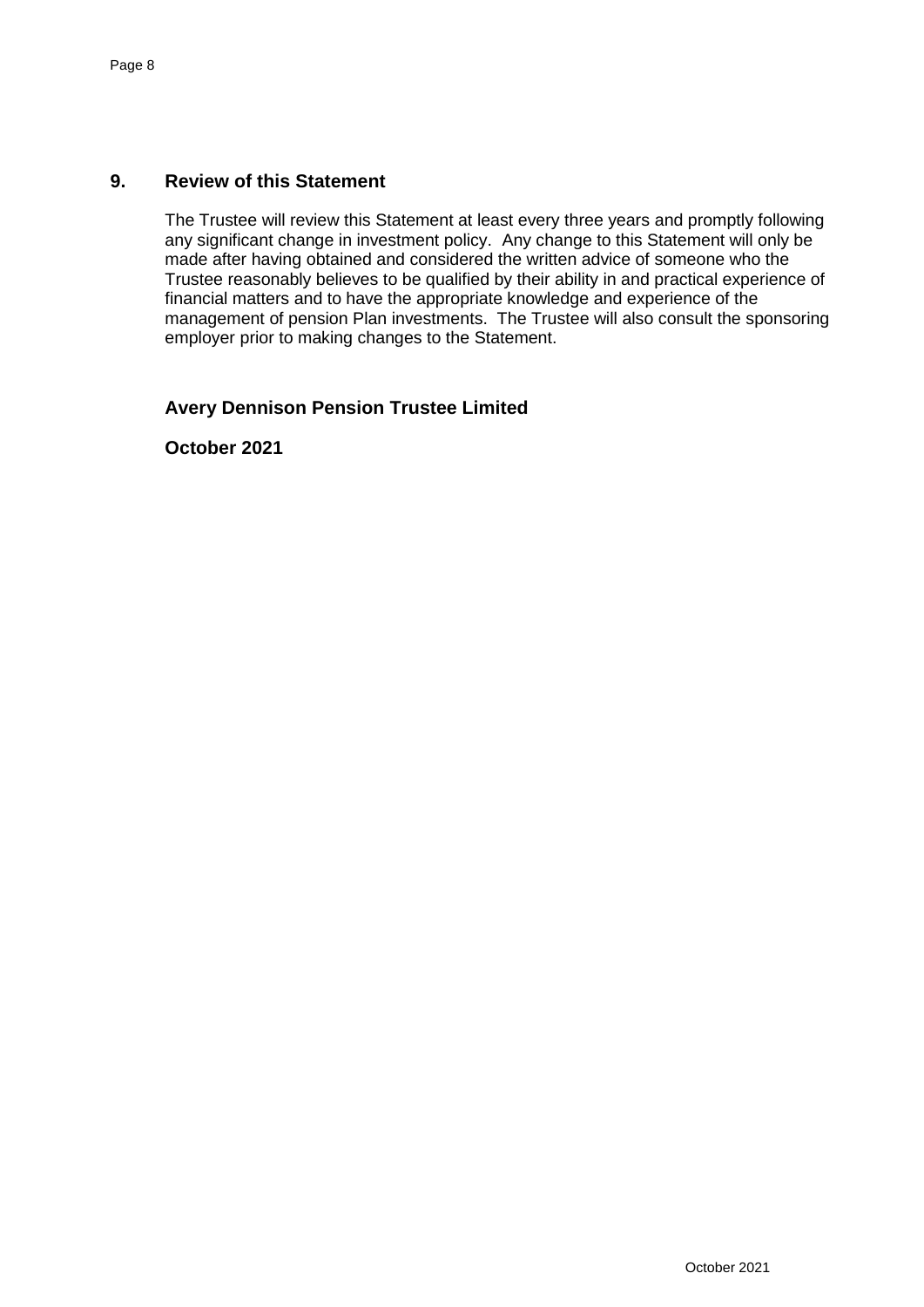## **9. Review of this Statement**

The Trustee will review this Statement at least every three years and promptly following any significant change in investment policy. Any change to this Statement will only be made after having obtained and considered the written advice of someone who the Trustee reasonably believes to be qualified by their ability in and practical experience of financial matters and to have the appropriate knowledge and experience of the management of pension Plan investments. The Trustee will also consult the sponsoring employer prior to making changes to the Statement.

## **Avery Dennison Pension Trustee Limited**

**October 2021**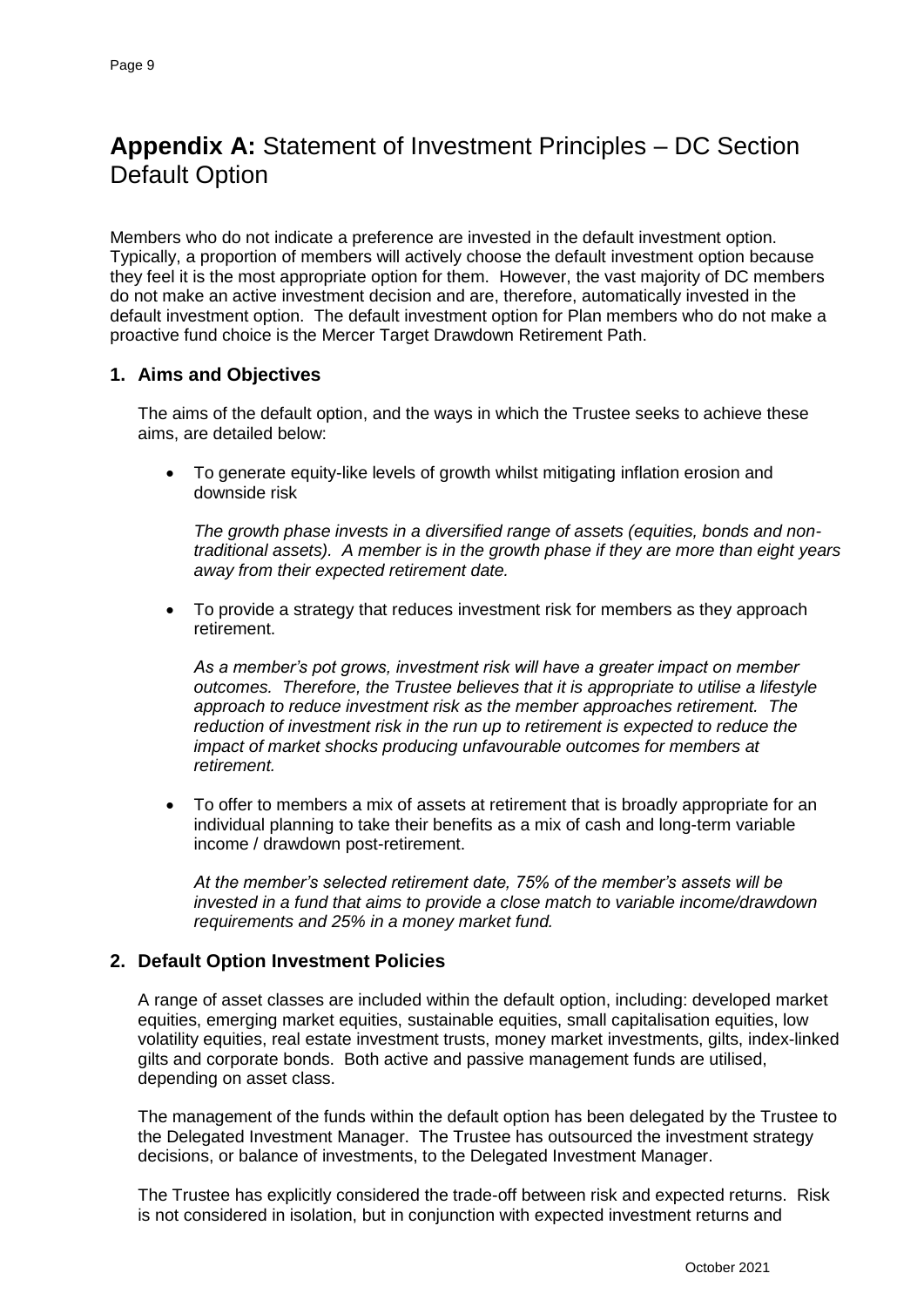## **Appendix A:** Statement of Investment Principles – DC Section Default Option

Members who do not indicate a preference are invested in the default investment option. Typically, a proportion of members will actively choose the default investment option because they feel it is the most appropriate option for them. However, the vast majority of DC members do not make an active investment decision and are, therefore, automatically invested in the default investment option. The default investment option for Plan members who do not make a proactive fund choice is the Mercer Target Drawdown Retirement Path.

## **1. Aims and Objectives**

The aims of the default option, and the ways in which the Trustee seeks to achieve these aims, are detailed below:

 To generate equity-like levels of growth whilst mitigating inflation erosion and downside risk

*The growth phase invests in a diversified range of assets (equities, bonds and nontraditional assets). A member is in the growth phase if they are more than eight years away from their expected retirement date.*

 To provide a strategy that reduces investment risk for members as they approach retirement.

*As a member's pot grows, investment risk will have a greater impact on member outcomes. Therefore, the Trustee believes that it is appropriate to utilise a lifestyle approach to reduce investment risk as the member approaches retirement. The reduction of investment risk in the run up to retirement is expected to reduce the impact of market shocks producing unfavourable outcomes for members at retirement.* 

 To offer to members a mix of assets at retirement that is broadly appropriate for an individual planning to take their benefits as a mix of cash and long-term variable income / drawdown post-retirement.

*At the member's selected retirement date, 75% of the member's assets will be invested in a fund that aims to provide a close match to variable income/drawdown requirements and 25% in a money market fund.*

### **2. Default Option Investment Policies**

A range of asset classes are included within the default option, including: developed market equities, emerging market equities, sustainable equities, small capitalisation equities, low volatility equities, real estate investment trusts, money market investments, gilts, index-linked gilts and corporate bonds. Both active and passive management funds are utilised, depending on asset class.

The management of the funds within the default option has been delegated by the Trustee to the Delegated Investment Manager. The Trustee has outsourced the investment strategy decisions, or balance of investments, to the Delegated Investment Manager.

The Trustee has explicitly considered the trade-off between risk and expected returns. Risk is not considered in isolation, but in conjunction with expected investment returns and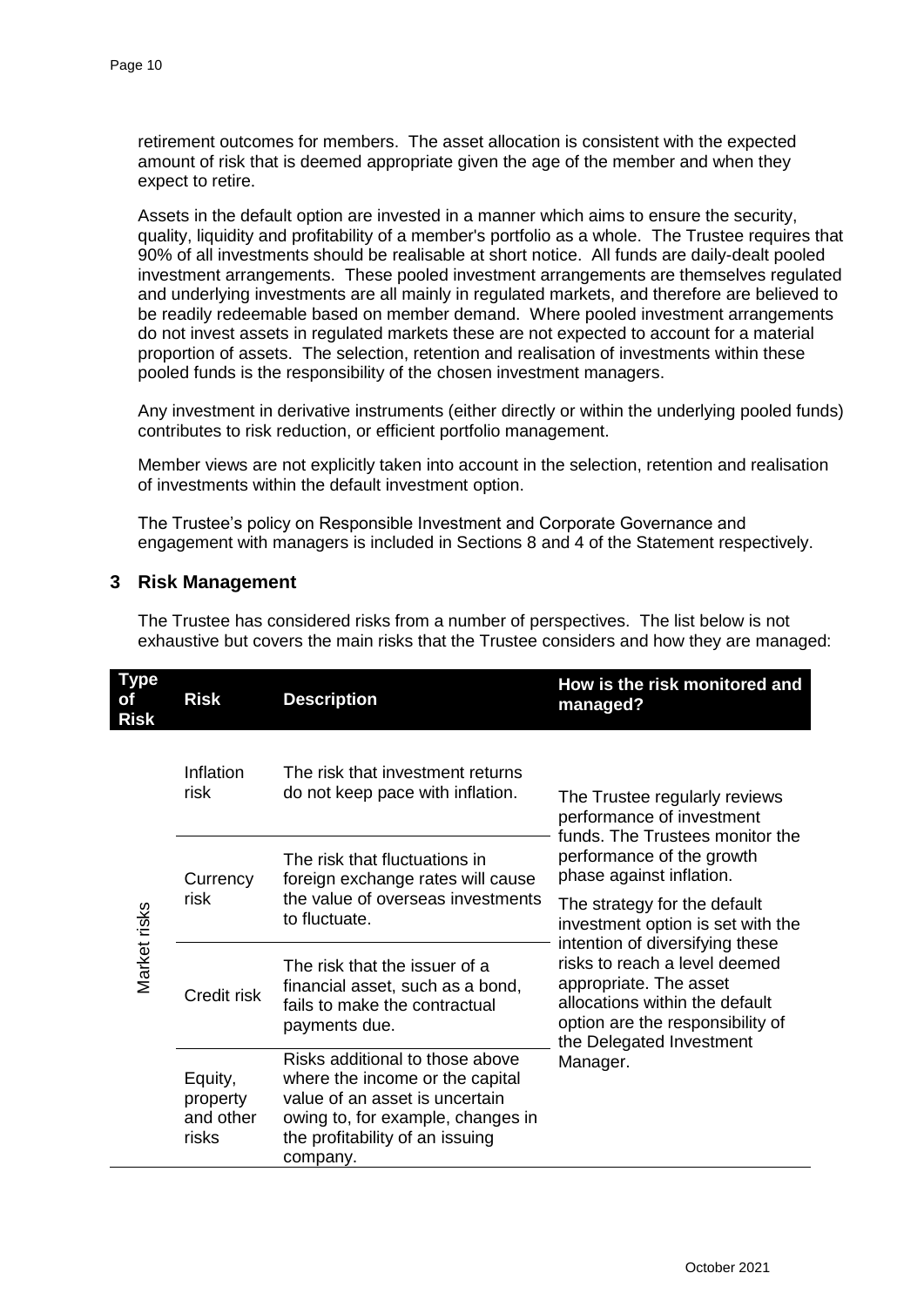retirement outcomes for members. The asset allocation is consistent with the expected amount of risk that is deemed appropriate given the age of the member and when they expect to retire.

Assets in the default option are invested in a manner which aims to ensure the security, quality, liquidity and profitability of a member's portfolio as a whole. The Trustee requires that 90% of all investments should be realisable at short notice. All funds are daily-dealt pooled investment arrangements. These pooled investment arrangements are themselves regulated and underlying investments are all mainly in regulated markets, and therefore are believed to be readily redeemable based on member demand. Where pooled investment arrangements do not invest assets in regulated markets these are not expected to account for a material proportion of assets. The selection, retention and realisation of investments within these pooled funds is the responsibility of the chosen investment managers.

Any investment in derivative instruments (either directly or within the underlying pooled funds) contributes to risk reduction, or efficient portfolio management.

Member views are not explicitly taken into account in the selection, retention and realisation of investments within the default investment option.

The Trustee's policy on Responsible Investment and Corporate Governance and engagement with managers is included in Sections 8 and 4 of the Statement respectively.

## **3 Risk Management**

The Trustee has considered risks from a number of perspectives. The list below is not exhaustive but covers the main risks that the Trustee considers and how they are managed:

| <b>Type</b><br>οf<br><b>Risk</b> | <b>Risk</b>                               | <b>Description</b>                                                                                                                                                                       | How is the risk monitored and<br>managed?                                                                                                                                                                                   |
|----------------------------------|-------------------------------------------|------------------------------------------------------------------------------------------------------------------------------------------------------------------------------------------|-----------------------------------------------------------------------------------------------------------------------------------------------------------------------------------------------------------------------------|
|                                  | Inflation<br>risk                         | The risk that investment returns<br>do not keep pace with inflation.                                                                                                                     | The Trustee regularly reviews<br>performance of investment<br>funds. The Trustees monitor the<br>performance of the growth<br>phase against inflation.<br>The strategy for the default<br>investment option is set with the |
| Market risks                     | Currency<br>risk                          | The risk that fluctuations in<br>foreign exchange rates will cause<br>the value of overseas investments<br>to fluctuate.                                                                 |                                                                                                                                                                                                                             |
|                                  | Credit risk                               | The risk that the issuer of a<br>financial asset, such as a bond,<br>fails to make the contractual<br>payments due.                                                                      | intention of diversifying these<br>risks to reach a level deemed<br>appropriate. The asset<br>allocations within the default<br>option are the responsibility of<br>the Delegated Investment                                |
|                                  | Equity,<br>property<br>and other<br>risks | Risks additional to those above<br>where the income or the capital<br>value of an asset is uncertain<br>owing to, for example, changes in<br>the profitability of an issuing<br>company. | Manager.                                                                                                                                                                                                                    |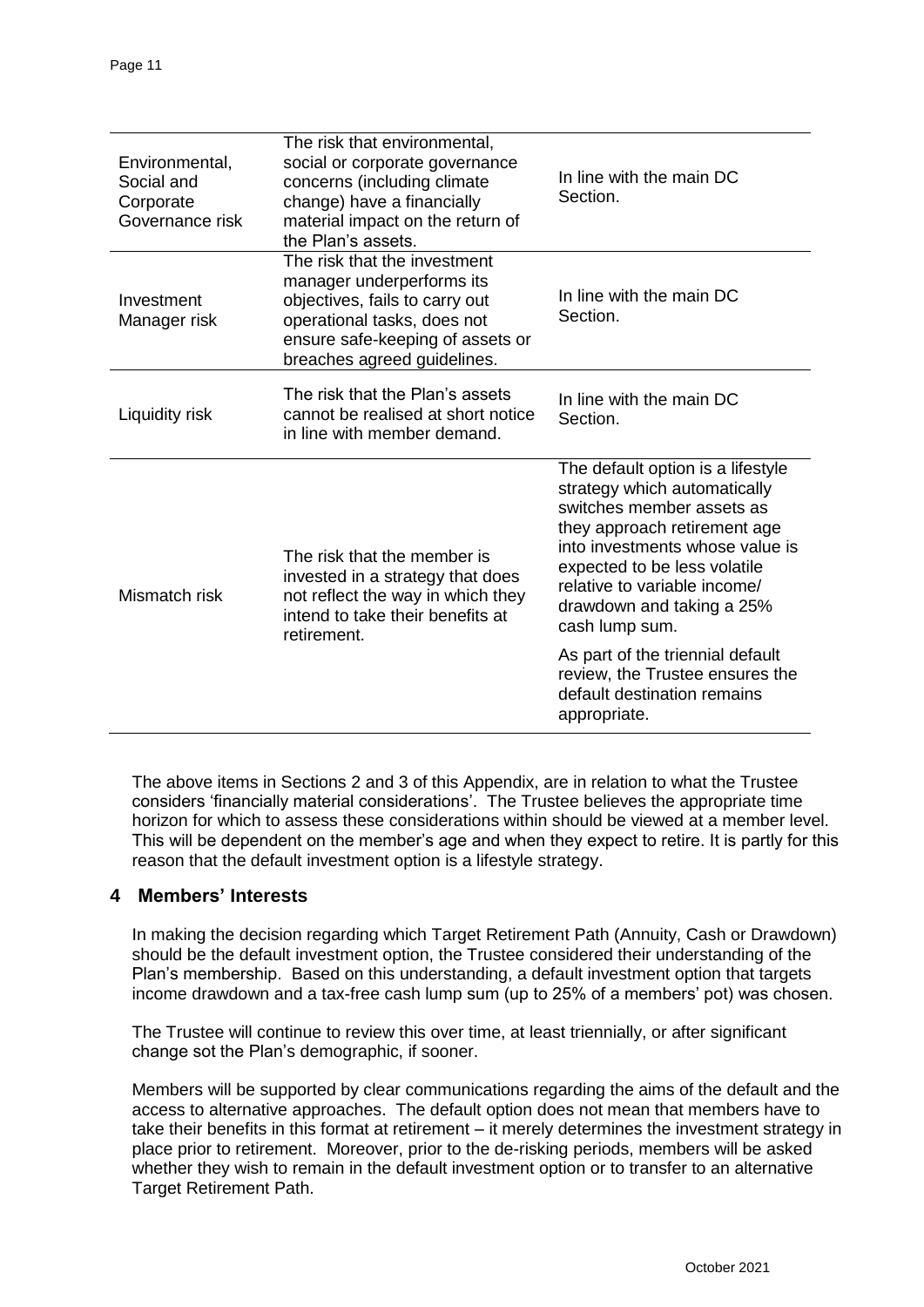| Environmental,<br>Social and<br>Corporate<br>Governance risk | The risk that environmental,<br>social or corporate governance<br>concerns (including climate<br>change) have a financially<br>material impact on the return of<br>the Plan's assets.         | In line with the main DC<br>Section.                                                                                                                                                                                                                                                                                                                                                                   |
|--------------------------------------------------------------|-----------------------------------------------------------------------------------------------------------------------------------------------------------------------------------------------|--------------------------------------------------------------------------------------------------------------------------------------------------------------------------------------------------------------------------------------------------------------------------------------------------------------------------------------------------------------------------------------------------------|
| Investment<br>Manager risk                                   | The risk that the investment<br>manager underperforms its<br>objectives, fails to carry out<br>operational tasks, does not<br>ensure safe-keeping of assets or<br>breaches agreed guidelines. | In line with the main DC<br>Section.                                                                                                                                                                                                                                                                                                                                                                   |
| Liquidity risk                                               | The risk that the Plan's assets<br>cannot be realised at short notice<br>in line with member demand.                                                                                          | In line with the main DC<br>Section.                                                                                                                                                                                                                                                                                                                                                                   |
| Mismatch risk                                                | The risk that the member is<br>invested in a strategy that does<br>not reflect the way in which they<br>intend to take their benefits at<br>retirement.                                       | The default option is a lifestyle<br>strategy which automatically<br>switches member assets as<br>they approach retirement age<br>into investments whose value is<br>expected to be less volatile<br>relative to variable income/<br>drawdown and taking a 25%<br>cash lump sum.<br>As part of the triennial default<br>review, the Trustee ensures the<br>default destination remains<br>appropriate. |

The above items in Sections 2 and 3 of this Appendix, are in relation to what the Trustee considers 'financially material considerations'. The Trustee believes the appropriate time horizon for which to assess these considerations within should be viewed at a member level. This will be dependent on the member's age and when they expect to retire. It is partly for this reason that the default investment option is a lifestyle strategy.

### **4 Members' Interests**

In making the decision regarding which Target Retirement Path (Annuity, Cash or Drawdown) should be the default investment option, the Trustee considered their understanding of the Plan's membership. Based on this understanding, a default investment option that targets income drawdown and a tax-free cash lump sum (up to 25% of a members' pot) was chosen.

The Trustee will continue to review this over time, at least triennially, or after significant change sot the Plan's demographic, if sooner.

Members will be supported by clear communications regarding the aims of the default and the access to alternative approaches. The default option does not mean that members have to take their benefits in this format at retirement – it merely determines the investment strategy in place prior to retirement. Moreover, prior to the de-risking periods, members will be asked whether they wish to remain in the default investment option or to transfer to an alternative Target Retirement Path.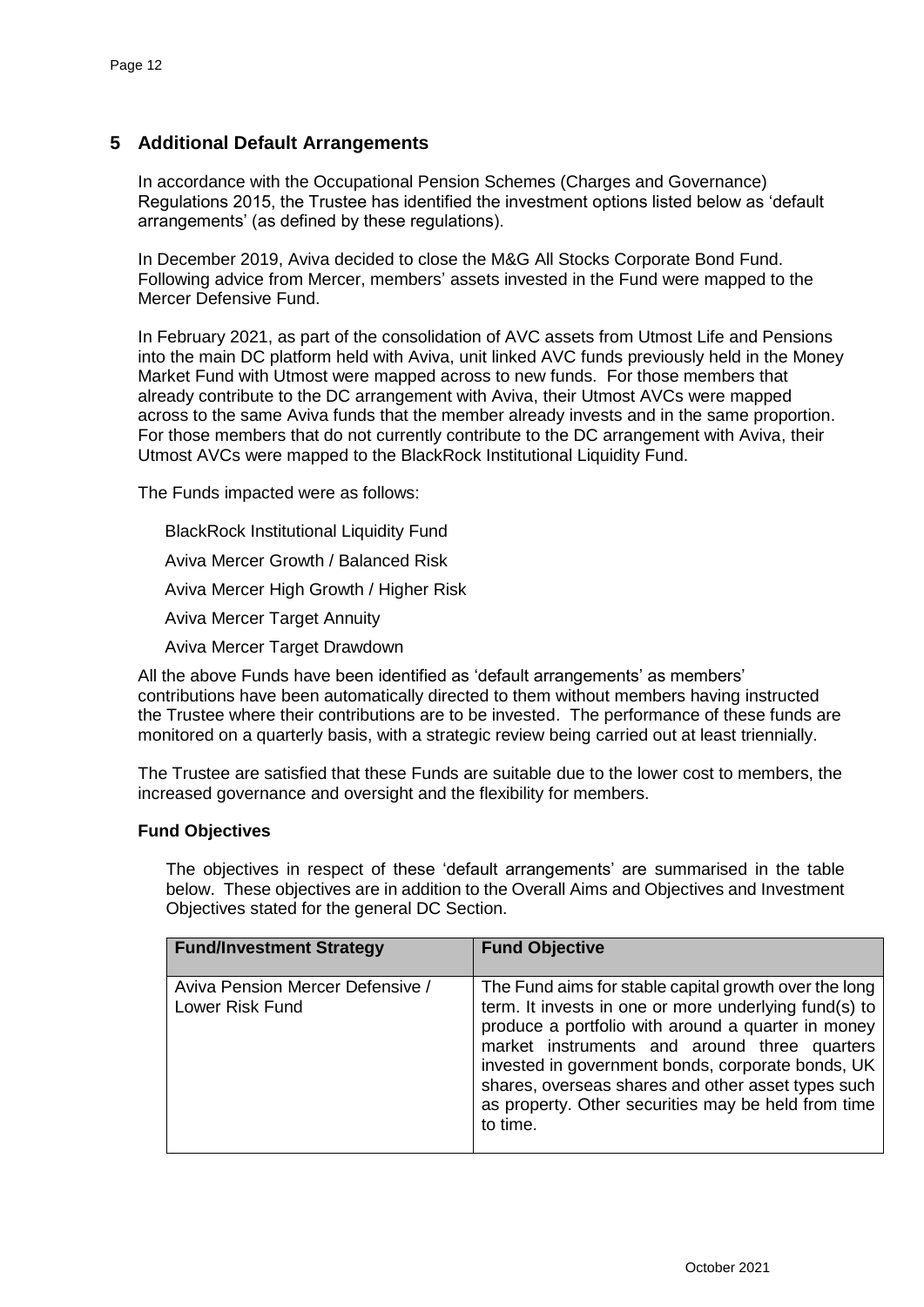## **5 Additional Default Arrangements**

In accordance with the Occupational Pension Schemes (Charges and Governance) Regulations 2015, the Trustee has identified the investment options listed below as 'default arrangements' (as defined by these regulations).

In December 2019, Aviva decided to close the M&G All Stocks Corporate Bond Fund. Following advice from Mercer, members' assets invested in the Fund were mapped to the Mercer Defensive Fund.

In February 2021, as part of the consolidation of AVC assets from Utmost Life and Pensions into the main DC platform held with Aviva, unit linked AVC funds previously held in the Money Market Fund with Utmost were mapped across to new funds. For those members that already contribute to the DC arrangement with Aviva, their Utmost AVCs were mapped across to the same Aviva funds that the member already invests and in the same proportion. For those members that do not currently contribute to the DC arrangement with Aviva, their Utmost AVCs were mapped to the BlackRock Institutional Liquidity Fund.

The Funds impacted were as follows:

BlackRock Institutional Liquidity Fund Aviva Mercer Growth / Balanced Risk Aviva Mercer High Growth / Higher Risk Aviva Mercer Target Annuity Aviva Mercer Target Drawdown

All the above Funds have been identified as 'default arrangements' as members' contributions have been automatically directed to them without members having instructed the Trustee where their contributions are to be invested. The performance of these funds are monitored on a quarterly basis, with a strategic review being carried out at least triennially.

The Trustee are satisfied that these Funds are suitable due to the lower cost to members, the increased governance and oversight and the flexibility for members.

#### **Fund Objectives**

The objectives in respect of these 'default arrangements' are summarised in the table below. These objectives are in addition to the Overall Aims and Objectives and Investment Objectives stated for the general DC Section.

| <b>Fund/Investment Strategy</b>                     | <b>Fund Objective</b>                                                                                                                                                                                                                                                                                                                                                                              |
|-----------------------------------------------------|----------------------------------------------------------------------------------------------------------------------------------------------------------------------------------------------------------------------------------------------------------------------------------------------------------------------------------------------------------------------------------------------------|
| Aviva Pension Mercer Defensive /<br>Lower Risk Fund | The Fund aims for stable capital growth over the long<br>term. It invests in one or more underlying fund(s) to<br>produce a portfolio with around a quarter in money<br>market instruments and around three quarters<br>invested in government bonds, corporate bonds, UK<br>shares, overseas shares and other asset types such<br>as property. Other securities may be held from time<br>to time. |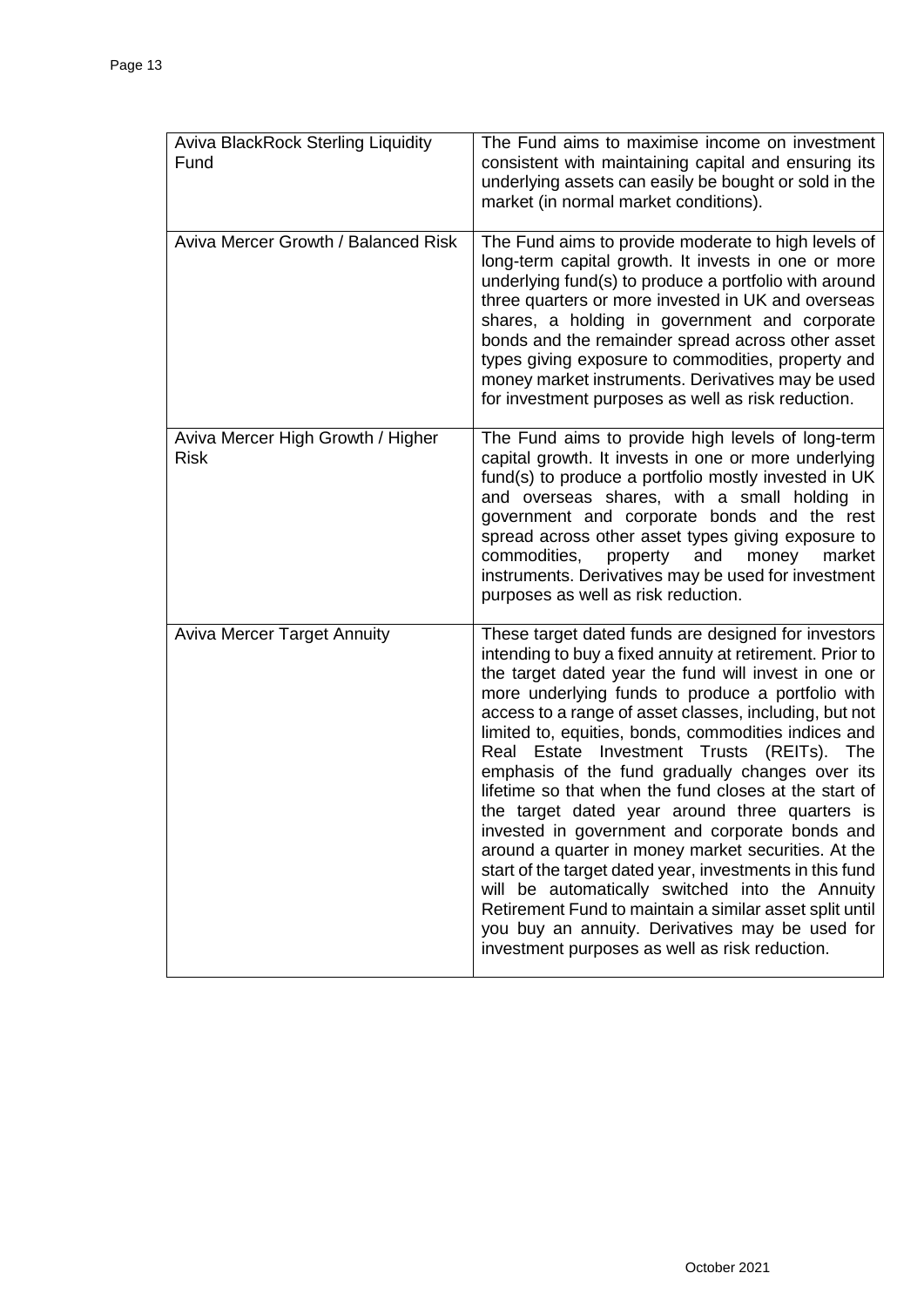| <b>Aviva BlackRock Sterling Liquidity</b><br>Fund | The Fund aims to maximise income on investment<br>consistent with maintaining capital and ensuring its<br>underlying assets can easily be bought or sold in the<br>market (in normal market conditions).                                                                                                                                                                                                                                                                                                                                                                                                                                                                                                                                                                                                                                                                                                                                           |
|---------------------------------------------------|----------------------------------------------------------------------------------------------------------------------------------------------------------------------------------------------------------------------------------------------------------------------------------------------------------------------------------------------------------------------------------------------------------------------------------------------------------------------------------------------------------------------------------------------------------------------------------------------------------------------------------------------------------------------------------------------------------------------------------------------------------------------------------------------------------------------------------------------------------------------------------------------------------------------------------------------------|
| Aviva Mercer Growth / Balanced Risk               | The Fund aims to provide moderate to high levels of<br>long-term capital growth. It invests in one or more<br>underlying fund(s) to produce a portfolio with around<br>three quarters or more invested in UK and overseas<br>shares, a holding in government and corporate<br>bonds and the remainder spread across other asset<br>types giving exposure to commodities, property and<br>money market instruments. Derivatives may be used<br>for investment purposes as well as risk reduction.                                                                                                                                                                                                                                                                                                                                                                                                                                                   |
| Aviva Mercer High Growth / Higher<br><b>Risk</b>  | The Fund aims to provide high levels of long-term<br>capital growth. It invests in one or more underlying<br>fund(s) to produce a portfolio mostly invested in UK<br>and overseas shares, with a small holding in<br>government and corporate bonds and the rest<br>spread across other asset types giving exposure to<br>and<br>commodities,<br>property<br>money<br>market<br>instruments. Derivatives may be used for investment<br>purposes as well as risk reduction.                                                                                                                                                                                                                                                                                                                                                                                                                                                                         |
| <b>Aviva Mercer Target Annuity</b>                | These target dated funds are designed for investors<br>intending to buy a fixed annuity at retirement. Prior to<br>the target dated year the fund will invest in one or<br>more underlying funds to produce a portfolio with<br>access to a range of asset classes, including, but not<br>limited to, equities, bonds, commodities indices and<br>Real Estate Investment Trusts (REITs). The<br>emphasis of the fund gradually changes over its<br>lifetime so that when the fund closes at the start of<br>the target dated year around three quarters is<br>invested in government and corporate bonds and<br>around a quarter in money market securities. At the<br>start of the target dated year, investments in this fund<br>will be automatically switched into the Annuity<br>Retirement Fund to maintain a similar asset split until<br>you buy an annuity. Derivatives may be used for<br>investment purposes as well as risk reduction. |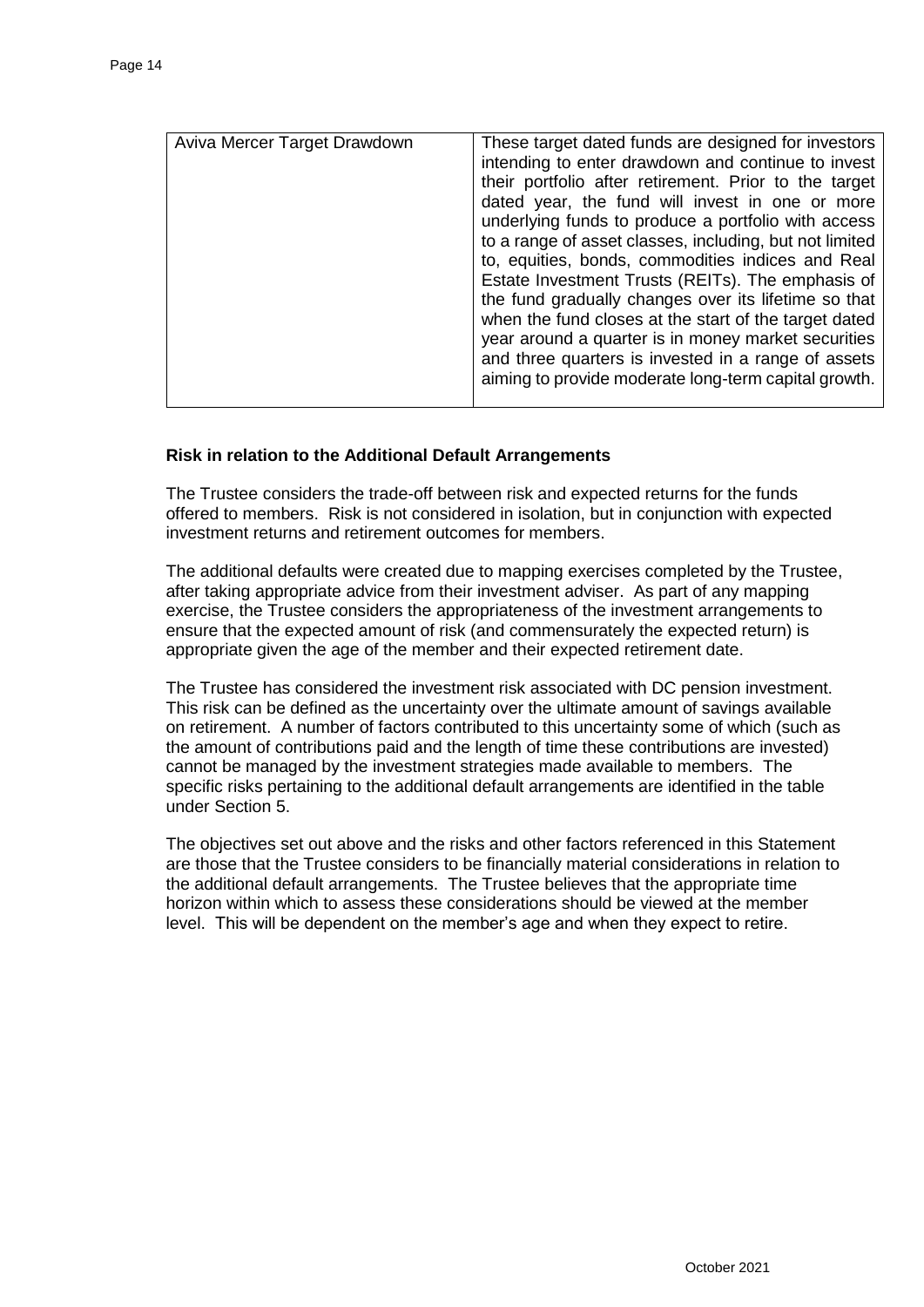| Aviva Mercer Target Drawdown | These target dated funds are designed for investors<br>intending to enter drawdown and continue to invest<br>their portfolio after retirement. Prior to the target<br>dated year, the fund will invest in one or more<br>underlying funds to produce a portfolio with access<br>to a range of asset classes, including, but not limited<br>to, equities, bonds, commodities indices and Real<br>Estate Investment Trusts (REITs). The emphasis of<br>the fund gradually changes over its lifetime so that<br>when the fund closes at the start of the target dated<br>year around a quarter is in money market securities<br>and three quarters is invested in a range of assets<br>aiming to provide moderate long-term capital growth. |
|------------------------------|------------------------------------------------------------------------------------------------------------------------------------------------------------------------------------------------------------------------------------------------------------------------------------------------------------------------------------------------------------------------------------------------------------------------------------------------------------------------------------------------------------------------------------------------------------------------------------------------------------------------------------------------------------------------------------------------------------------------------------------|

#### **Risk in relation to the Additional Default Arrangements**

The Trustee considers the trade-off between risk and expected returns for the funds offered to members. Risk is not considered in isolation, but in conjunction with expected investment returns and retirement outcomes for members.

The additional defaults were created due to mapping exercises completed by the Trustee, after taking appropriate advice from their investment adviser. As part of any mapping exercise, the Trustee considers the appropriateness of the investment arrangements to ensure that the expected amount of risk (and commensurately the expected return) is appropriate given the age of the member and their expected retirement date.

The Trustee has considered the investment risk associated with DC pension investment. This risk can be defined as the uncertainty over the ultimate amount of savings available on retirement. A number of factors contributed to this uncertainty some of which (such as the amount of contributions paid and the length of time these contributions are invested) cannot be managed by the investment strategies made available to members. The specific risks pertaining to the additional default arrangements are identified in the table under Section 5.

The objectives set out above and the risks and other factors referenced in this Statement are those that the Trustee considers to be financially material considerations in relation to the additional default arrangements. The Trustee believes that the appropriate time horizon within which to assess these considerations should be viewed at the member level. This will be dependent on the member's age and when they expect to retire.